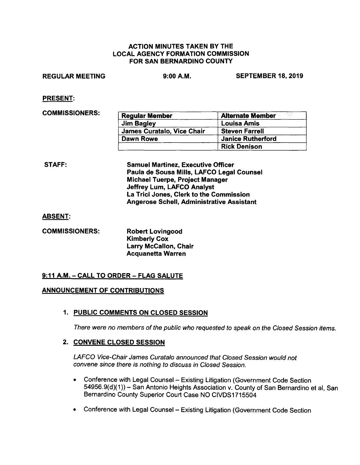## ACTION MINUTES TAKEN BY THE LOCAL AGENCY FORMATION COMMISSION FOR SAN BERNARDINO COUNTY

REGULAR MEETING 9:00A.M. SEPTEMBER 18, 2019

PRESENT:

**COMMISSIONERS:** 

| <b>Regular Member</b>      | 借款 あいりょ<br><b>Alternate Member</b> |
|----------------------------|------------------------------------|
| <b>Jim Bagley</b>          | <b>Louisa Amis</b>                 |
| James Curatalo, Vice Chair | <b>Steven Farrell</b>              |
| Dawn Rowe                  | <b>Janice Rutherford</b>           |
|                            | <b>Rick Denison</b>                |

STAFF: Samuel Martinez, Executive Officer Paula de Sousa **Mills,** LAFCO Legal Counsel Michael Tuerpe, Project Manager Jeffrey Lum, LAFCO Analyst La Trici Jones, Clerk to the Commission Angerose Schell, Administrative Assistant

ABSENT:

| <b>COMMISSIONERS:</b> | <b>Robert Lovingood</b>      |
|-----------------------|------------------------------|
|                       | <b>Kimberly Cox</b>          |
|                       | <b>Larry McCallon, Chair</b> |
|                       | <b>Acquanetta Warren</b>     |

# **9:11 A.M. -CALL TO ORDER- FLAG SALUTE**

# **ANNOUNCEMENT OF CONTRIBUTIONS**

# **1. PUBLIC COMMENTS ON CLOSED SESSION**

There were no members of the public who requested to speak on the Closed Session items.

# **2. CONVENE CLOSED SESSION**

LAFCO Vice-Chair James Curatalo announced that Closed Session would not convene since there is nothing to discuss in Closed Session.

- Conference with Legal Counsel Existing Litigation (Government Code Section 54956.9(d)(1)) - San Antonio Heights Association v. County of San Bernardino et al, San Bernardino County Superior Court Case NO CIVDS1715504
- Conference with Legal Counsel Existing Litigation (Government Code Section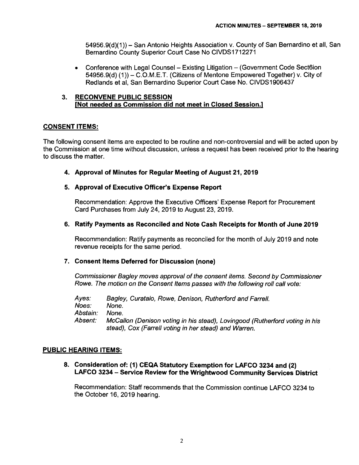54956.9(d)(1 ))- San Antonio Heights Association v. County of San Bernardino et all, San Bernardino County Superior Court Case No CIVDS1712271

• Conference with Legal Counsel – Existing Litigation – (Government Code Sect6ion 54956.9(d) (1)) – C.O.M.E.T. (Citizens of Mentone Empowered Together) v. City of Redlands et al, San Bernardino Superior Court Case No. CIVDS1906437

## **3. RECONVENE PUBLIC SESSION [Not needed as Commission did not meet in Closed Session.]**

# **CONSENT ITEMS:**

The following consent items are expected to be routine and non-controversial and will be acted upon by the Commission at one time without discussion, unless a request has been received prior to the hearing to discuss the matter.

**4. Approval of Minutes for Regular Meeting of August 21, 2019** 

# **5. Approval of Executive Officer's Expense Report**

Recommendation: Approve the Executive Officers' Expense Report for Procurement Card Purchases from July 24, 2019 to August 23, 2019.

## **6. Ratify Payments as Reconciled and Note Cash Receipts for Month of June 2019**

Recommendation: Ratify payments as reconciled for the month of July 2019 and note revenue receipts for the same period.

### **7. Consent Items Deferred for Discussion (none)**

Commissioner Bagley moves approval of the consent items. Second by Commissioner Rowe. The motion on the Consent Items passes with the following roll call vote:

Ayes: Noes: Abstain: Absent: Bagley, Curatalo, Rowe, Denison, Rutherford and Farrell. None. None. McCallon (Denison voting in his stead), Lovingood (Rutherford voting in his stead), Cox (Farrell voting in her stead) and Warren.

### **PUBLIC HEARING ITEMS:**

**8. Consideration of: (1) CEQA Statutory Exemption for LAFCO 3234 and (2) LAFCO 3234** - **Service Review for the Wrightwood Community Services District** 

Recommendation: Staff recommends that the Commission continue LAFCO 3234 to the October 16, 2019 hearing.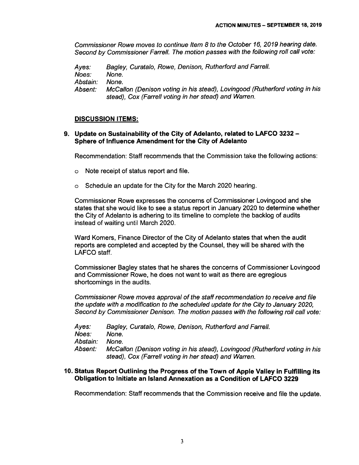Commissioner Rowe moves to continue Item 8 to the October 16, 2019 hearing date. Second by Commissioner Farrell. The motion passes with the following roll call vote:

Ayes: Noes: Abstain: Absent: Bagley, Curatalo, Rowe, Denison, Rutherford and Farrell. None. None. McCallon (Denison voting in his stead), Lovingood (Rutherford voting in his stead), Cox (Farrell voting in her stead) and Warren.

#### **DISCUSSION ITEMS:**

# **9. Update on Sustainability of the City of Adelanto, related to LAFCO 3232** - **Sphere of Influence Amendment for the City of Adelanto**

Recommendation: Staff recommends that the Commission take the following actions:

- o Note receipt of status report and file.
- o Schedule an update for the City for the March 2020 hearing.

Commissioner Rowe expresses the concerns of Commissioner Lovingood and she states that she would like to see a status report in January 2020 to determine whether the City of Adelanto is adhering to its timeline to complete the backlog of audits instead of waiting until March 2020.

Ward Komers, Finance Director of the City of Adelanto states that when the audit reports are completed and accepted by the Counsel, they will be shared with the LAFCO staff.

Commissioner Bagley states that he shares the concerns of Commissioner Lovingood and Commissioner Rowe, he does not want to wait as there are egregious shortcomings in the audits.

Commissioner Rowe moves approval of the staff recommendation to receive and file the update with a modification to the scheduled update for the City to January 2020, Second by Commissioner Denison. The motion passes with the following roll call vote:

| Ayes:    | Bagley, Curatalo, Rowe, Denison, Rutherford and Farrell.                                                                             |
|----------|--------------------------------------------------------------------------------------------------------------------------------------|
| Noes:    | None.                                                                                                                                |
| Abstain: | None.                                                                                                                                |
| Absent:  | McCallon (Denison voting in his stead), Lovingood (Rutherford voting in his<br>stead), Cox (Farrell voting in her stead) and Warren. |

#### **10. Status Report Outlining the Progress of the Town of Apple Valley in Fulfilling its Obligation to Initiate an Island Annexation as a Condition of LAFCO 3229**

Recommendation: Staff recommends that the Commission receive and file the update.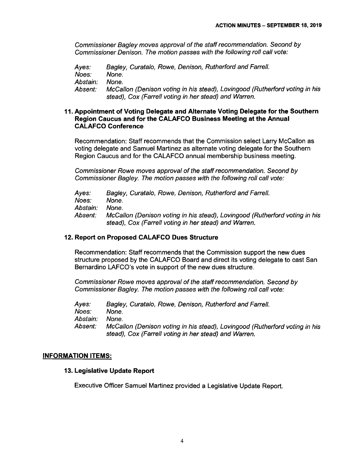Commissioner Bagley moves approval of the staff recommendation. Second by Commissioner Denison. The motion passes with the following roll call vote:

Ayes: Noes: Abstain: Absent: Bagley, Curatalo, Rowe, Denison, Rutherford and Farrell. None. None. Mccallon (Denison voting in his stead), Lovingood (Rutherford voting in his stead), Cox (Farrell voting in her stead) and Warren.

## **11. Appointment of Voting Delegate and Alternate Voting Delegate for the Southern Region Caucus and for the CALAFCO Business Meeting at the Annual CALAFCO Conference**

Recommendation: Staff recommends that the Commission select Larry McCallon as voting delegate and Samuel Martinez as alternate voting delegate for the Southern Region Caucus and for the CALAFCO annual membership business meeting.

Commissioner Rowe moves approval of the staff recommendation. Second by Commissioner Bagley. The motion passes with the following roll call vote:

Ayes: Noes: Abstain: Absent: Bagley, Curatalo, Rowe, Denison, Rutherford and Farrell. None. None. Mccallon (Denison voting in his stead), Lovingood (Rutherford voting in his stead), Cox (Farrell voting in her stead) and Warren.

#### **12. Report on Proposed CALAFCO Dues Structure**

Recommendation: Staff recommends that the Commission support the new dues structure proposed by the CALAFCO Board and direct its voting delegate to cast San Bernardino LAFCO's vote in support of the new dues structure.

Commissioner Rowe moves approval of the staff recommendation. Second by Commissioner Bagley. The motion passes with the following roll call vote:

Ayes: Noes: Abstain: Absent: Bagley, Curatalo, Rowe, Denison, Rutherford and Farrell. None. None. McCallon (Denison voting in his stead), Lovingood (Rutherford voting in his stead), Cox (Farrell voting in her stead) and Warren.

#### **INFORMATION ITEMS:**

#### **13. Legislative Update Report**

Executive Officer Samuel Martinez provided a Legislative Update Report.